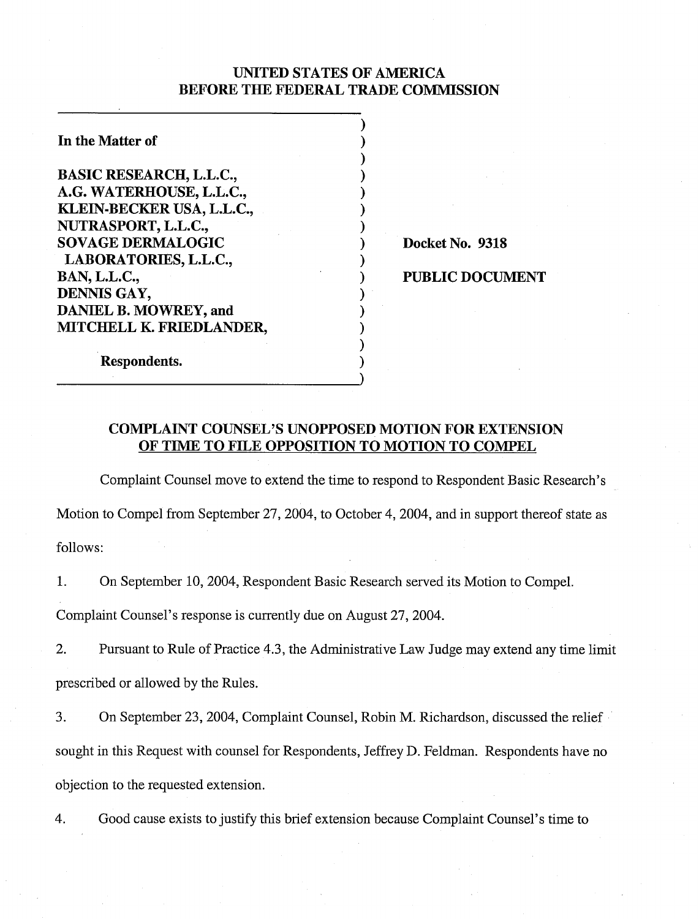## UNITED STATES OF AMERICA BEFORE THE FEDERAL TRADE COMMISSION

 $)$  $\mathbf{)}$  $)$  $)$  $)$  $\mathbf{)}$  $)$ 

 $)$ 

 $)$  .  $\mathbf{)}$  $)$  $)$  $\mathbf{)}$ 

| In the Matter of                |
|---------------------------------|
| <b>BASIC RESEARCH, L.L.C.,</b>  |
| A.G. WATERHOUSE, L.L.C.,        |
| KLEIN-BECKER USA, L.L.C.,       |
| NUTRASPORT, L.L.C.,             |
| <b>SOVAGE DERMALOGIC</b>        |
| LABORATORIES, L.L.C.,           |
| <b>BAN, L.L.C.,</b>             |
| DENNIS GAY,                     |
| <b>DANIEL B. MOWREY, and</b>    |
| <b>MITCHELL K. FRIEDLANDER,</b> |
| <b>Respondents.</b>             |

Docket No. 9318

1 PUBLIC DOCUMENT

# COMPLAINT COUNSEL'S UNOPPOSED MOTION FOR EXTENSION OF TIME TO FILE OPPOSITION TO MOTION TO COMPEL

Complaint Counsel move to extend the time to respond to Respondent Basic Research's Motion to Compel from September 27, 2004, to October 4, 2004, and in support thereof state as follows:

1. On September 10,2004, Respondent Basic Research served its Motion to Compel.

Complaint Counsel's response is currently due on August 27,2004.

2. Pursuant to Rule of Practice 4.3, the Administrative Law Judge may extend any time limit prescribed or allowed by the Rules.

3. On September 23,2004, Complaint Counsel, Robin M. Richardson, discussed the relief sought in this Request with counsel for Respondents, Jeffrey D. Feldman. Respondents have no objection to the requested extension.

4. Good cause exists to justify this brief extension because Complaint Counsel's time to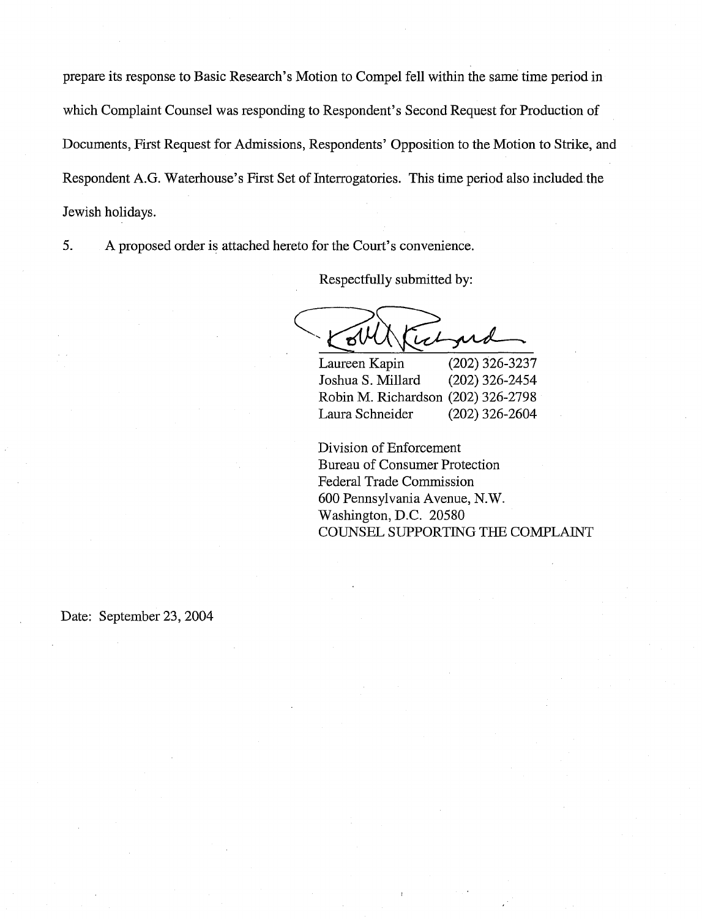prepare its response to Basic Research's Motion to Compel fell within the same time period in which Complaint Counsel was responding to Respondent's Second Request for Production of Documents, First Request for Admissions, Respondents' Opposition to the Motion to Strike, and Respondent A.G. Waterhouse's First Set of Interrogatories. This time period also included the Jewish holidays.

5. A proposed order is attached hereto for the Court's convenience.

Respectfully submitted by:

໌ອໃ prob

Laureen Kapin (202) 326-3237 Joshua S. Millard (202) 326-2454 Robin M. Richardson (202) 326-2798 Laura Schneider (202) 326-2604

Division of Enforcement Bureau of Consumer Protection Federal Trade Commission 600 Pennsylvania Avenue, N.W. Washington, D.C. 20580 COUNSEL SUPPORTING THE COMPLAINT

Date: September 23, 2004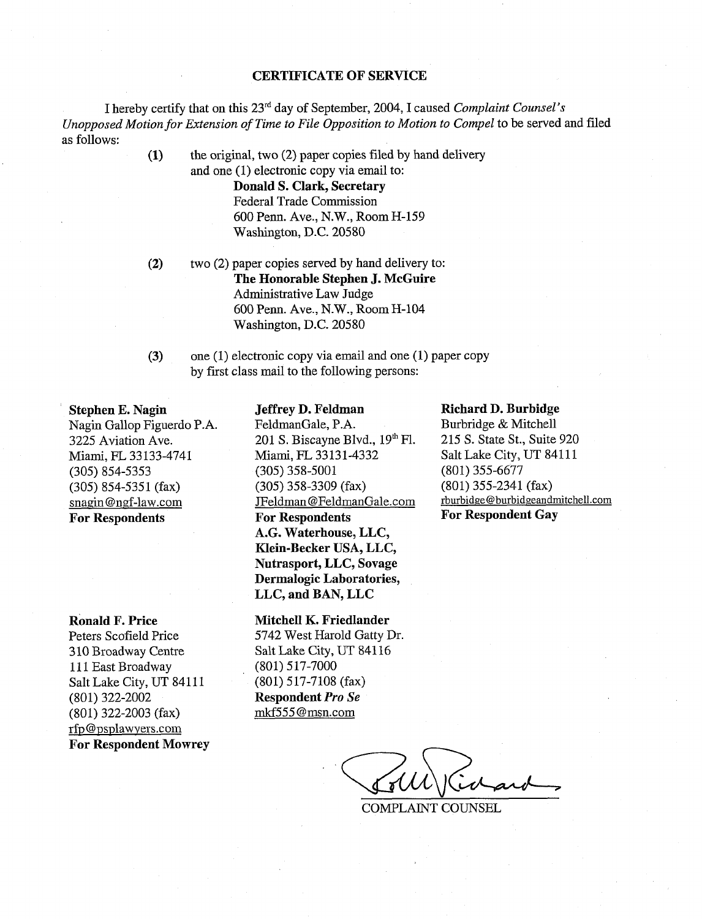#### **CERTIFICATE OF SERVICE**

I hereby certify that on this 23rd day of September, 2004, I caused *Complaint Counsel's Unopposed Motion for Extension of Time to File Opposition to Motion to Compel* to be served and filed as follows:

> **(1)** the original, two (2) paper copies filed by hand delivery and one (1) electronic copy via email to:

> > **Donald S. Clark, Secretary**  Federal Trade Commission 600 Penn. Ave., N.W., Room H-159 Washington, D.C. 20580

- **(2)** two (2) paper copies served by hand delivery to: **The Honorable Stephen J. McGuire**  Administrative Law Judge 600 Penn. Ave., N.W., Room H-104 Washington, D.C. 20580
- **(3)** one (1) electronic copy via email and one (1) paper copy by first class mail to the following persons:

## **Stephen E. Nagin**

Nagin Gallop Figuerdo P.A. 3225 Aviation Ave. Miami, FL 33 133-4741 (305) 854-5353  $(305)$  854-5351 (fax) snagin@ngf-law.com **For Respondents** 

**Ronald F. Price** 

Peters Scofield Price 310 Broadway Centre 111 East Broadway Salt Lake City, UT 84111 (801) 322-2002 (801) 322-2003 **(fax)**  rfp@psplawvers.com **For Respondent Mowrey** 

#### **Jeffrey D. Feldman**

FeldmanGale, P.A. 201 S. Biscayne Blvd.,  $19<sup>th</sup>$  Fl. Miami, FL 33131-4332 (305) 358-5001 (305) 358-3309 (fax) JFeldman @FeldmanGale. com **For Respondents**  A.G. **Waterhouse, LLC, Klein-Becker USA, LLC, Nutrasport, LLC, Sovage Dermalogic Laboratories, LLC, and BAN, LLC** 

**Mitchell K. Friedlander** 

5742 West Harold Gatty Dr. Salt Lake City, UT 841 16 (801) 517-7000 (801) 5 17-7108 (fax) **Respondent Pro** *Se*  mkf555 @msn.com

#### **Richard D. Burbidge**

Burbridge & Mitchell 215 S. State St., Suite 920 Salt Lake City, UT 84111 (801) 355-6677 (801) 355-2341 (fax) rburbidge@burbidgeandmitchell.com **For Respondent Gay** 

COMPLAINT COUNSEL